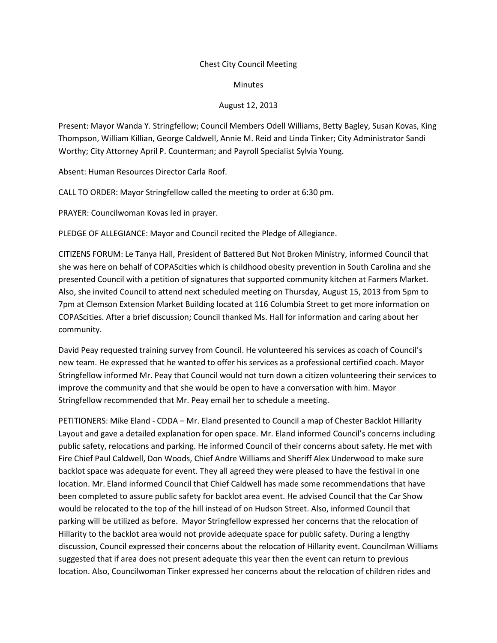### Chest City Council Meeting

#### **Minutes**

# August 12, 2013

Present: Mayor Wanda Y. Stringfellow; Council Members Odell Williams, Betty Bagley, Susan Kovas, King Thompson, William Killian, George Caldwell, Annie M. Reid and Linda Tinker; City Administrator Sandi Worthy; City Attorney April P. Counterman; and Payroll Specialist Sylvia Young.

Absent: Human Resources Director Carla Roof.

CALL TO ORDER: Mayor Stringfellow called the meeting to order at 6:30 pm.

PRAYER: Councilwoman Kovas led in prayer.

PLEDGE OF ALLEGIANCE: Mayor and Council recited the Pledge of Allegiance.

CITIZENS FORUM: Le Tanya Hall, President of Battered But Not Broken Ministry, informed Council that she was here on behalf of COPAScities which is childhood obesity prevention in South Carolina and she presented Council with a petition of signatures that supported community kitchen at Farmers Market. Also, she invited Council to attend next scheduled meeting on Thursday, August 15, 2013 from 5pm to 7pm at Clemson Extension Market Building located at 116 Columbia Street to get more information on COPAScities. After a brief discussion; Council thanked Ms. Hall for information and caring about her community.

David Peay requested training survey from Council. He volunteered his services as coach of Council's new team. He expressed that he wanted to offer his services as a professional certified coach. Mayor Stringfellow informed Mr. Peay that Council would not turn down a citizen volunteering their services to improve the community and that she would be open to have a conversation with him. Mayor Stringfellow recommended that Mr. Peay email her to schedule a meeting.

PETITIONERS: Mike Eland - CDDA – Mr. Eland presented to Council a map of Chester Backlot Hillarity Layout and gave a detailed explanation for open space. Mr. Eland informed Council's concerns including public safety, relocations and parking. He informed Council of their concerns about safety. He met with Fire Chief Paul Caldwell, Don Woods, Chief Andre Williams and Sheriff Alex Underwood to make sure backlot space was adequate for event. They all agreed they were pleased to have the festival in one location. Mr. Eland informed Council that Chief Caldwell has made some recommendations that have been completed to assure public safety for backlot area event. He advised Council that the Car Show would be relocated to the top of the hill instead of on Hudson Street. Also, informed Council that parking will be utilized as before. Mayor Stringfellow expressed her concerns that the relocation of Hillarity to the backlot area would not provide adequate space for public safety. During a lengthy discussion, Council expressed their concerns about the relocation of Hillarity event. Councilman Williams suggested that if area does not present adequate this year then the event can return to previous location. Also, Councilwoman Tinker expressed her concerns about the relocation of children rides and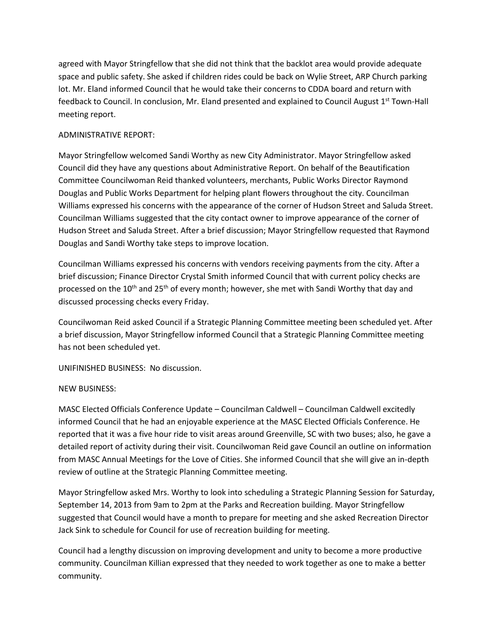agreed with Mayor Stringfellow that she did not think that the backlot area would provide adequate space and public safety. She asked if children rides could be back on Wylie Street, ARP Church parking lot. Mr. Eland informed Council that he would take their concerns to CDDA board and return with feedback to Council. In conclusion, Mr. Eland presented and explained to Council August 1<sup>st</sup> Town-Hall meeting report.

# ADMINISTRATIVE REPORT:

Mayor Stringfellow welcomed Sandi Worthy as new City Administrator. Mayor Stringfellow asked Council did they have any questions about Administrative Report. On behalf of the Beautification Committee Councilwoman Reid thanked volunteers, merchants, Public Works Director Raymond Douglas and Public Works Department for helping plant flowers throughout the city. Councilman Williams expressed his concerns with the appearance of the corner of Hudson Street and Saluda Street. Councilman Williams suggested that the city contact owner to improve appearance of the corner of Hudson Street and Saluda Street. After a brief discussion; Mayor Stringfellow requested that Raymond Douglas and Sandi Worthy take steps to improve location.

Councilman Williams expressed his concerns with vendors receiving payments from the city. After a brief discussion; Finance Director Crystal Smith informed Council that with current policy checks are processed on the 10<sup>th</sup> and 25<sup>th</sup> of every month; however, she met with Sandi Worthy that day and discussed processing checks every Friday.

Councilwoman Reid asked Council if a Strategic Planning Committee meeting been scheduled yet. After a brief discussion, Mayor Stringfellow informed Council that a Strategic Planning Committee meeting has not been scheduled yet.

UNIFINISHED BUSINESS: No discussion.

# NEW BUSINESS:

MASC Elected Officials Conference Update – Councilman Caldwell – Councilman Caldwell excitedly informed Council that he had an enjoyable experience at the MASC Elected Officials Conference. He reported that it was a five hour ride to visit areas around Greenville, SC with two buses; also, he gave a detailed report of activity during their visit. Councilwoman Reid gave Council an outline on information from MASC Annual Meetings for the Love of Cities. She informed Council that she will give an in-depth review of outline at the Strategic Planning Committee meeting.

Mayor Stringfellow asked Mrs. Worthy to look into scheduling a Strategic Planning Session for Saturday, September 14, 2013 from 9am to 2pm at the Parks and Recreation building. Mayor Stringfellow suggested that Council would have a month to prepare for meeting and she asked Recreation Director Jack Sink to schedule for Council for use of recreation building for meeting.

Council had a lengthy discussion on improving development and unity to become a more productive community. Councilman Killian expressed that they needed to work together as one to make a better community.